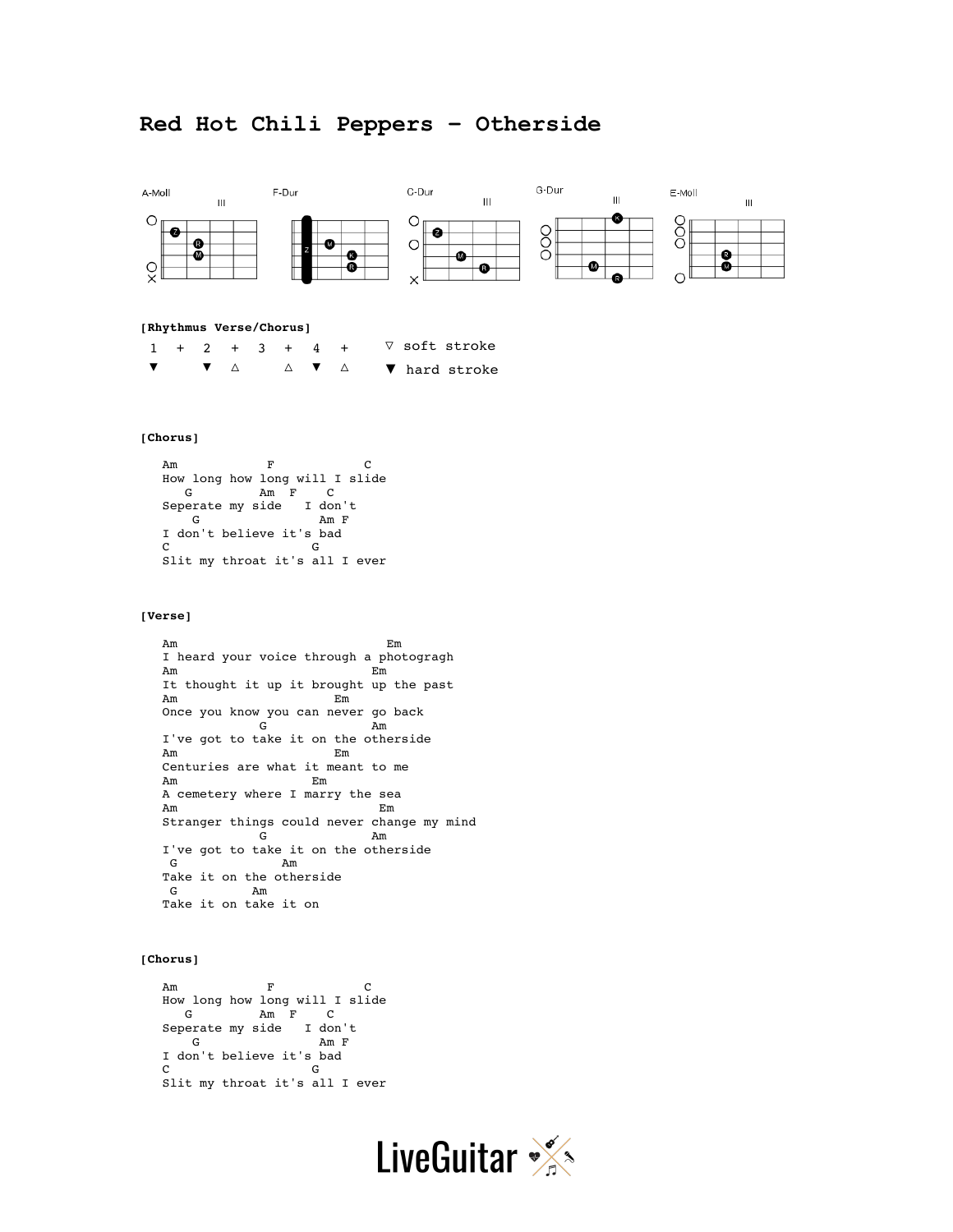# **Red Hot Chili Peppers – Otherside**



#### **[Rhythmus Verse/Chorus]**

|  |  |  | $1 + 2 + 3 + 4 +$ | ∇ soft stroke                                                         |
|--|--|--|-------------------|-----------------------------------------------------------------------|
|  |  |  |                   | $\bullet$ $\bullet$ $\Delta$ $\bullet$ $\Delta$ $\bullet$ hard stroke |

# **[Chorus]**

```
Am F C
 How long how long will I slide 
   G Am F C 
 Seperate my side I don't 
G Am F
  I don't believe it's bad 
 C<sub>c</sub>
  Slit my throat it's all I ever
```
### **[Verse]**

 Am Em I heard your voice through a photogragh Am Em It thought it up it brought up the past Am Em Once you know you can never go back G Am I've got to take it on the otherside Am Em Centuries are what it meant to me Am Em A cemetery where I marry the sea Am Em Stranger things could never change my mind G Am I've got to take it on the otherside G Am Take it on the otherside<br>G  $Am$ Am Take it on take it on

### **[Chorus]**

```
Am F C
  How long how long will I slide 
   G Am F C 
  Seperate my side I don't 
    G Am F 
  I don't believe it's bad 
  C G 
  Slit my throat it's all I ever
```